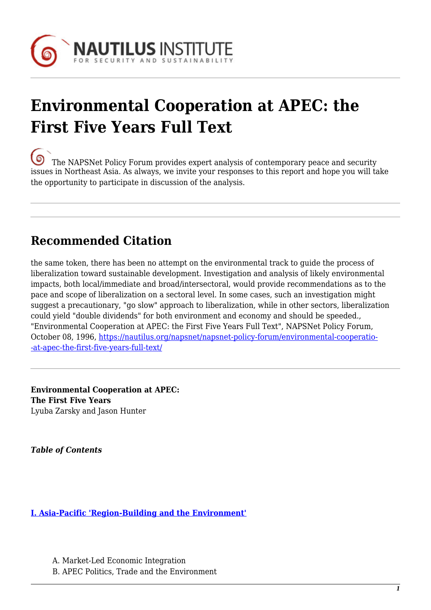

# **Environmental Cooperation at APEC: the First Five Years Full Text**

[T](https://nautilus.org/wp-content/uploads/2013/05/nautilus-logo-small.png)he NAPSNet Policy Forum provides expert analysis of contemporary peace and security issues in Northeast Asia. As always, we invite your responses to this report and hope you will take the opportunity to participate in discussion of the analysis.

# **Recommended Citation**

the same token, there has been no attempt on the environmental track to guide the process of liberalization toward sustainable development. Investigation and analysis of likely environmental impacts, both local/immediate and broad/intersectoral, would provide recommendations as to the pace and scope of liberalization on a sectoral level. In some cases, such an investigation might suggest a precautionary, "go slow" approach to liberalization, while in other sectors, liberalization could yield "double dividends" for both environment and economy and should be speeded., "Environmental Cooperation at APEC: the First Five Years Full Text", NAPSNet Policy Forum, October 08, 1996, [https://nautilus.org/napsnet/napsnet-policy-forum/environmental-cooperatio-](https://nautilus.org/napsnet/napsnet-policy-forum/environmental-cooperation-at-apec-the-first-five-years-full-text/) [-at-apec-the-first-five-years-full-text/](https://nautilus.org/napsnet/napsnet-policy-forum/environmental-cooperation-at-apec-the-first-five-years-full-text/)

**Environmental Cooperation at APEC: The First Five Years** Lyuba Zarsky and Jason Hunter

*Table of Contents*

**[I. Asia-Pacific 'Region-Building and the Environment'](#page-2-0)**

A. Market-Led Economic Integration B. APEC Politics, Trade and the Environment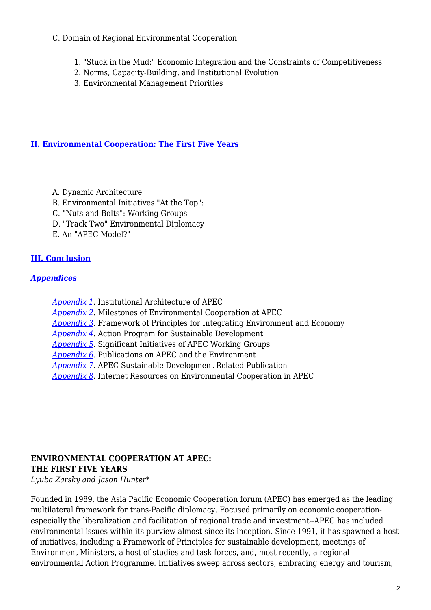#### C. Domain of Regional Environmental Cooperation

- 1. "Stuck in the Mud:" Economic Integration and the Constraints of Competitiveness
- 2. Norms, Capacity-Building, and Institutional Evolution
- 3. Environmental Management Priorities

#### **[II. Environmental Cooperation: The First Five Years](#page-9-0)**

- A. Dynamic Architecture
- B. Environmental Initiatives "At the Top":
- C. "Nuts and Bolts": Working Groups
- D. "Track Two" Environmental Diplomacy
- E. An "APEC Model?"

# **[III. Conclusion](#page-16-0)**

#### <span id="page-1-0"></span>*[Appendices](#page-1-0)*

- *[Appendix 1](http://nautilus.org/appendix1.html)*. Institutional Architecture of APEC
- *[Appendix 2](http://nautilus.org/appendix2.html)*. Milestones of Environmental Cooperation at APEC
- *[Appendix 3](http://nautilus.org/appendix3.html)*. Framework of Principles for Integrating Environment and Economy
- *[Appendix 4](http://nautilus.org/appendix4.html)*. Action Program for Sustainable Development
- *[Appendix 5](http://nautilus.org/appendix5.html)*. Significant Initiatives of APEC Working Groups
- *[Appendix 6](http://nautilus.org/appendix6.html)*. Publications on APEC and the Environment
- *[Appendix 7](http://nautilus.org/appendix7.html)*. APEC Sustainable Development Related Publication
- *[Appendix 8](http://nautilus.org/appendix8.html)*. Internet Resources on Environmental Cooperation in APEC

#### **ENVIRONMENTAL COOPERATION AT APEC: THE FIRST FIVE YEARS**

*Lyuba Zarsky and Jason Hunter\**

Founded in 1989, the Asia Pacific Economic Cooperation forum (APEC) has emerged as the leading multilateral framework for trans-Pacific diplomacy. Focused primarily on economic cooperationespecially the liberalization and facilitation of regional trade and investment--APEC has included environmental issues within its purview almost since its inception. Since 1991, it has spawned a host of initiatives, including a Framework of Principles for sustainable development, meetings of Environment Ministers, a host of studies and task forces, and, most recently, a regional environmental Action Programme. Initiatives sweep across sectors, embracing energy and tourism,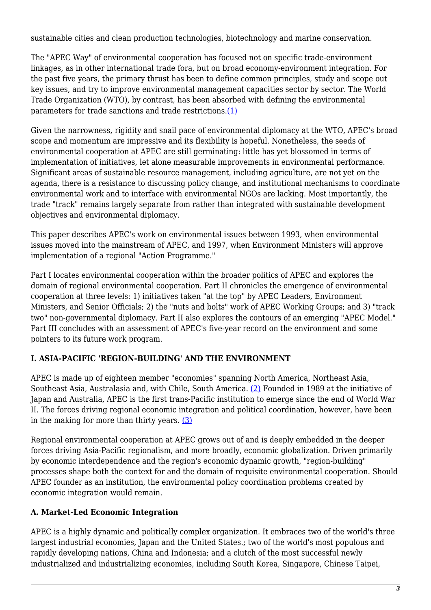sustainable cities and clean production technologies, biotechnology and marine conservation.

The "APEC Way" of environmental cooperation has focused not on specific trade-environment linkages, as in other international trade fora, but on broad economy-environment integration. For the past five years, the primary thrust has been to define common principles, study and scope out key issues, and try to improve environmental management capacities sector by sector. The World Trade Organization (WTO), by contrast, has been absorbed with defining the environmental parameters for trade sanctions and trade restrictions.[\(1\)](#page-18-0)

Given the narrowness, rigidity and snail pace of environmental diplomacy at the WTO, APEC's broad scope and momentum are impressive and its flexibility is hopeful. Nonetheless, the seeds of environmental cooperation at APEC are still germinating: little has yet blossomed in terms of implementation of initiatives, let alone measurable improvements in environmental performance. Significant areas of sustainable resource management, including agriculture, are not yet on the agenda, there is a resistance to discussing policy change, and institutional mechanisms to coordinate environmental work and to interface with environmental NGOs are lacking. Most importantly, the trade "track" remains largely separate from rather than integrated with sustainable development objectives and environmental diplomacy.

This paper describes APEC's work on environmental issues between 1993, when environmental issues moved into the mainstream of APEC, and 1997, when Environment Ministers will approve implementation of a regional "Action Programme."

Part I locates environmental cooperation within the broader politics of APEC and explores the domain of regional environmental cooperation. Part II chronicles the emergence of environmental cooperation at three levels: 1) initiatives taken "at the top" by APEC Leaders, Environment Ministers, and Senior Officials; 2) the "nuts and bolts" work of APEC Working Groups; and 3) "track two" non-governmental diplomacy. Part II also explores the contours of an emerging "APEC Model." Part III concludes with an assessment of APEC's five-year record on the environment and some pointers to its future work program.

# <span id="page-2-0"></span>**I. ASIA-PACIFIC 'REGION-BUILDING' AND THE ENVIRONMENT**

APEC is made up of eighteen member "economies" spanning North America, Northeast Asia, Southeast Asia, Australasia and, with Chile, South America. [\(2\)](#page-18-1) Founded in 1989 at the initiative of Japan and Australia, APEC is the first trans-Pacific institution to emerge since the end of World War II. The forces driving regional economic integration and political coordination, however, have been in the making for more than thirty years. [\(3\)](#page-18-2)

Regional environmental cooperation at APEC grows out of and is deeply embedded in the deeper forces driving Asia-Pacific regionalism, and more broadly, economic globalization. Driven primarily by economic interdependence and the region's economic dynamic growth, "region-building" processes shape both the context for and the domain of requisite environmental cooperation. Should APEC founder as an institution, the environmental policy coordination problems created by economic integration would remain.

# **A. Market-Led Economic Integration**

APEC is a highly dynamic and politically complex organization. It embraces two of the world's three largest industrial economies, Japan and the United States.; two of the world's most populous and rapidly developing nations, China and Indonesia; and a clutch of the most successful newly industrialized and industrializing economies, including South Korea, Singapore, Chinese Taipei,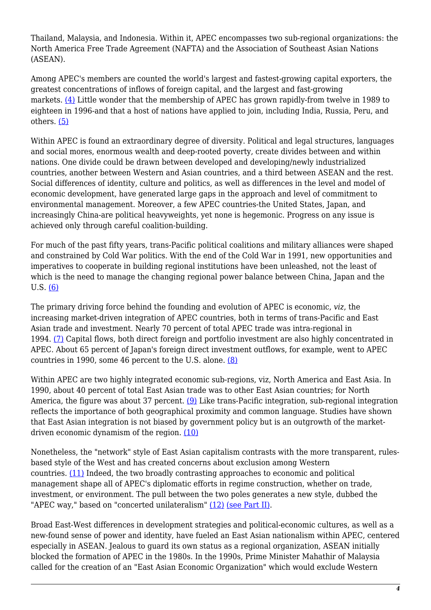Thailand, Malaysia, and Indonesia. Within it, APEC encompasses two sub-regional organizations: the North America Free Trade Agreement (NAFTA) and the Association of Southeast Asian Nations (ASEAN).

Among APEC's members are counted the world's largest and fastest-growing capital exporters, the greatest concentrations of inflows of foreign capital, and the largest and fast-growing markets. [\(4\)](#page-18-3) Little wonder that the membership of APEC has grown rapidly-from twelve in 1989 to eighteen in 1996-and that a host of nations have applied to join, including India, Russia, Peru, and others. [\(5\)](#page-18-4)

Within APEC is found an extraordinary degree of diversity. Political and legal structures, languages and social mores, enormous wealth and deep-rooted poverty, create divides between and within nations. One divide could be drawn between developed and developing/newly industrialized countries, another between Western and Asian countries, and a third between ASEAN and the rest. Social differences of identity, culture and politics, as well as differences in the level and model of economic development, have generated large gaps in the approach and level of commitment to environmental management. Moreover, a few APEC countries-the United States, Japan, and increasingly China-are political heavyweights, yet none is hegemonic. Progress on any issue is achieved only through careful coalition-building.

For much of the past fifty years, trans-Pacific political coalitions and military alliances were shaped and constrained by Cold War politics. With the end of the Cold War in 1991, new opportunities and imperatives to cooperate in building regional institutions have been unleashed, not the least of which is the need to manage the changing regional power balance between China, Japan and the U.S. [\(6\)](#page-18-5)

The primary driving force behind the founding and evolution of APEC is economic, *viz*, the increasing market-driven integration of APEC countries, both in terms of trans-Pacific and East Asian trade and investment. Nearly 70 percent of total APEC trade was intra-regional in 1994. [\(7\)](#page-18-6) Capital flows, both direct foreign and portfolio investment are also highly concentrated in APEC. About 65 percent of Japan's foreign direct investment outflows, for example, went to APEC countries in 1990, some 46 percent to the U.S. alone. [\(8\)](#page-18-6)

Within APEC are two highly integrated economic sub-regions, viz, North America and East Asia. In 1990, about 40 percent of total East Asian trade was to other East Asian countries; for North America, the figure was about 37 percent. [\(9\)](#page-18-7) Like trans-Pacific integration, sub-regional integration reflects the importance of both geographical proximity and common language. Studies have shown that East Asian integration is not biased by government policy but is an outgrowth of the marketdriven economic dynamism of the region. [\(10\)](#page-19-0)

Nonetheless, the "network" style of East Asian capitalism contrasts with the more transparent, rulesbased style of the West and has created concerns about exclusion among Western countries. [\(11\)](#page-19-1) Indeed, the two broadly contrasting approaches to economic and political management shape all of APEC's diplomatic efforts in regime construction, whether on trade, investment, or environment. The pull between the two poles generates a new style, dubbed the "APEC way," based on "concerted unilateralism" [\(12\)](#page-19-2) [\(see Part II\).](#page-9-0)

Broad East-West differences in development strategies and political-economic cultures, as well as a new-found sense of power and identity, have fueled an East Asian nationalism within APEC, centered especially in ASEAN. Jealous to guard its own status as a regional organization, ASEAN initially blocked the formation of APEC in the 1980s. In the 1990s, Prime Minister Mahathir of Malaysia called for the creation of an "East Asian Economic Organization" which would exclude Western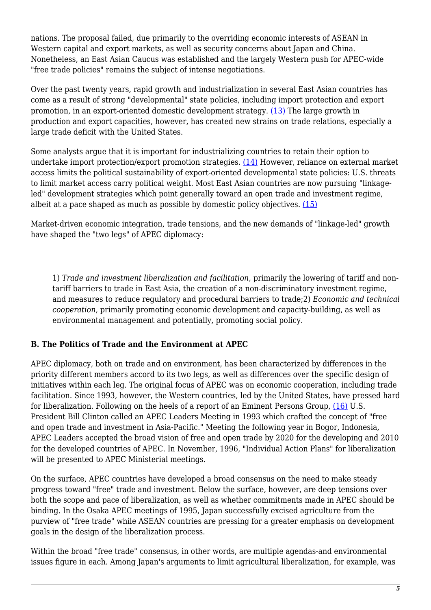nations. The proposal failed, due primarily to the overriding economic interests of ASEAN in Western capital and export markets, as well as security concerns about Japan and China. Nonetheless, an East Asian Caucus was established and the largely Western push for APEC-wide "free trade policies" remains the subject of intense negotiations.

Over the past twenty years, rapid growth and industrialization in several East Asian countries has come as a result of strong "developmental" state policies, including import protection and export promotion, in an export-oriented domestic development strategy. [\(13\)](#page-19-3) The large growth in production and export capacities, however, has created new strains on trade relations, especially a large trade deficit with the United States.

Some analysts argue that it is important for industrializing countries to retain their option to undertake import protection/export promotion strategies. [\(14\)](#page-19-4) However, reliance on external market access limits the political sustainability of export-oriented developmental state policies: U.S. threats to limit market access carry political weight. Most East Asian countries are now pursuing "linkageled" development strategies which point generally toward an open trade and investment regime, albeit at a pace shaped as much as possible by domestic policy objectives. [\(15\)](#page-19-5)

Market-driven economic integration, trade tensions, and the new demands of "linkage-led" growth have shaped the "two legs" of APEC diplomacy:

1) *Trade and investment liberalization and facilitation*, primarily the lowering of tariff and nontariff barriers to trade in East Asia, the creation of a non-discriminatory investment regime, and measures to reduce regulatory and procedural barriers to trade;2) *Economic and technical cooperation*, primarily promoting economic development and capacity-building, as well as environmental management and potentially, promoting social policy.

#### **B. The Politics of Trade and the Environment at APEC**

APEC diplomacy, both on trade and on environment, has been characterized by differences in the priority different members accord to its two legs, as well as differences over the specific design of initiatives within each leg. The original focus of APEC was on economic cooperation, including trade facilitation. Since 1993, however, the Western countries, led by the United States, have pressed hard for liberalization. Following on the heels of a report of an Eminent Persons Group, [\(16\)](#page-19-6) U.S. President Bill Clinton called an APEC Leaders Meeting in 1993 which crafted the concept of "free and open trade and investment in Asia-Pacific." Meeting the following year in Bogor, Indonesia, APEC Leaders accepted the broad vision of free and open trade by 2020 for the developing and 2010 for the developed countries of APEC. In November, 1996, "Individual Action Plans" for liberalization will be presented to APEC Ministerial meetings.

On the surface, APEC countries have developed a broad consensus on the need to make steady progress toward "free" trade and investment. Below the surface, however, are deep tensions over both the scope and pace of liberalization, as well as whether commitments made in APEC should be binding. In the Osaka APEC meetings of 1995, Japan successfully excised agriculture from the purview of "free trade" while ASEAN countries are pressing for a greater emphasis on development goals in the design of the liberalization process.

Within the broad "free trade" consensus, in other words, are multiple agendas-and environmental issues figure in each. Among Japan's arguments to limit agricultural liberalization, for example, was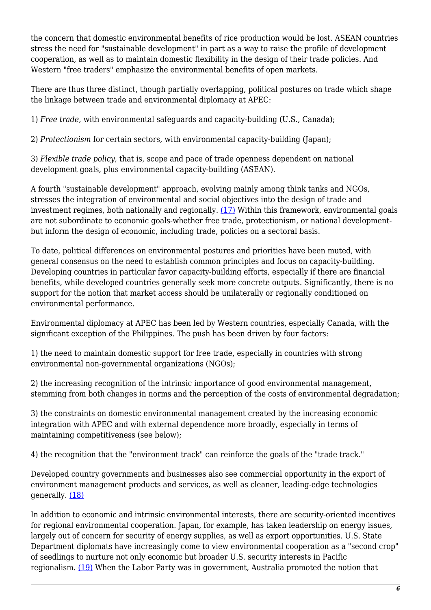the concern that domestic environmental benefits of rice production would be lost. ASEAN countries stress the need for "sustainable development" in part as a way to raise the profile of development cooperation, as well as to maintain domestic flexibility in the design of their trade policies. And Western "free traders" emphasize the environmental benefits of open markets.

There are thus three distinct, though partially overlapping, political postures on trade which shape the linkage between trade and environmental diplomacy at APEC:

1) *Free trade*, with environmental safeguards and capacity-building (U.S., Canada);

2) *Protectionism* for certain sectors, with environmental capacity-building (Japan);

3) *Flexible trade policy*, that is, scope and pace of trade openness dependent on national development goals, plus environmental capacity-building (ASEAN).

A fourth "sustainable development" approach, evolving mainly among think tanks and NGOs, stresses the integration of environmental and social objectives into the design of trade and investment regimes, both nationally and regionally. [\(17\)](#page-19-7) Within this framework, environmental goals are not subordinate to economic goals-whether free trade, protectionism, or national developmentbut inform the design of economic, including trade, policies on a sectoral basis.

To date, political differences on environmental postures and priorities have been muted, with general consensus on the need to establish common principles and focus on capacity-building. Developing countries in particular favor capacity-building efforts, especially if there are financial benefits, while developed countries generally seek more concrete outputs. Significantly, there is no support for the notion that market access should be unilaterally or regionally conditioned on environmental performance.

Environmental diplomacy at APEC has been led by Western countries, especially Canada, with the significant exception of the Philippines. The push has been driven by four factors:

1) the need to maintain domestic support for free trade, especially in countries with strong environmental non-governmental organizations (NGOs);

2) the increasing recognition of the intrinsic importance of good environmental management, stemming from both changes in norms and the perception of the costs of environmental degradation;

3) the constraints on domestic environmental management created by the increasing economic integration with APEC and with external dependence more broadly, especially in terms of maintaining competitiveness (see below);

4) the recognition that the "environment track" can reinforce the goals of the "trade track."

Developed country governments and businesses also see commercial opportunity in the export of environment management products and services, as well as cleaner, leading-edge technologies generally. [\(18\)](#page-19-8)

In addition to economic and intrinsic environmental interests, there are security-oriented incentives for regional environmental cooperation. Japan, for example, has taken leadership on energy issues, largely out of concern for security of energy supplies, as well as export opportunities. U.S. State Department diplomats have increasingly come to view environmental cooperation as a "second crop" of seedlings to nurture not only economic but broader U.S. security interests in Pacific regionalism. [\(19\)](#page-19-9) When the Labor Party was in government, Australia promoted the notion that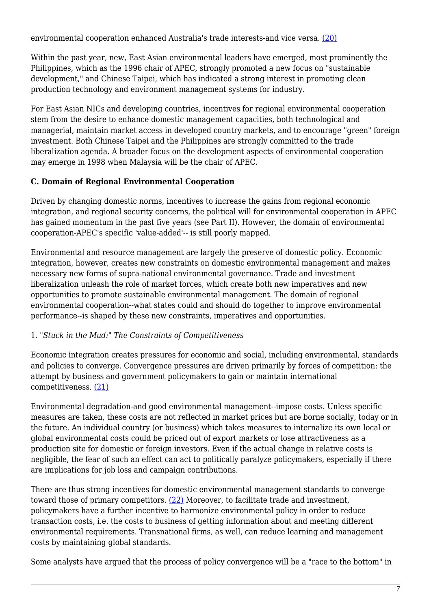environmental cooperation enhanced Australia's trade interests-and vice versa. [\(20\)](#page-19-10)

Within the past year, new, East Asian environmental leaders have emerged, most prominently the Philippines, which as the 1996 chair of APEC, strongly promoted a new focus on "sustainable development," and Chinese Taipei, which has indicated a strong interest in promoting clean production technology and environment management systems for industry.

For East Asian NICs and developing countries, incentives for regional environmental cooperation stem from the desire to enhance domestic management capacities, both technological and managerial, maintain market access in developed country markets, and to encourage "green" foreign investment. Both Chinese Taipei and the Philippines are strongly committed to the trade liberalization agenda. A broader focus on the development aspects of environmental cooperation may emerge in 1998 when Malaysia will be the chair of APEC.

# **C. Domain of Regional Environmental Cooperation**

Driven by changing domestic norms, incentives to increase the gains from regional economic integration, and regional security concerns, the political will for environmental cooperation in APEC has gained momentum in the past five years (see Part II). However, the domain of environmental cooperation-APEC's specific 'value-added'-- is still poorly mapped.

Environmental and resource management are largely the preserve of domestic policy. Economic integration, however, creates new constraints on domestic environmental management and makes necessary new forms of supra-national environmental governance. Trade and investment liberalization unleash the role of market forces, which create both new imperatives and new opportunities to promote sustainable environmental management. The domain of regional environmental cooperation--what states could and should do together to improve environmental performance--is shaped by these new constraints, imperatives and opportunities.

# 1. *"Stuck in the Mud:" The Constraints of Competitiveness*

Economic integration creates pressures for economic and social, including environmental, standards and policies to converge. Convergence pressures are driven primarily by forces of competition: the attempt by business and government policymakers to gain or maintain international competitiveness. [\(21\)](#page-19-11)

Environmental degradation-and good environmental management--impose costs. Unless specific measures are taken, these costs are not reflected in market prices but are borne socially, today or in the future. An individual country (or business) which takes measures to internalize its own local or global environmental costs could be priced out of export markets or lose attractiveness as a production site for domestic or foreign investors. Even if the actual change in relative costs is negligible, the fear of such an effect can act to politically paralyze policymakers, especially if there are implications for job loss and campaign contributions.

There are thus strong incentives for domestic environmental management standards to converge toward those of primary competitors.  $(22)$  Moreover, to facilitate trade and investment, policymakers have a further incentive to harmonize environmental policy in order to reduce transaction costs, i.e. the costs to business of getting information about and meeting different environmental requirements. Transnational firms, as well, can reduce learning and management costs by maintaining global standards.

Some analysts have argued that the process of policy convergence will be a "race to the bottom" in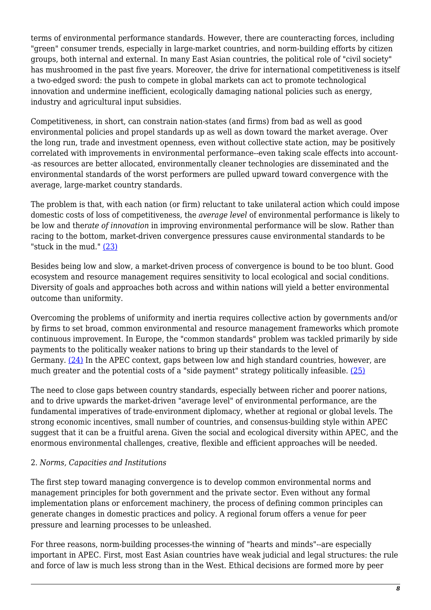terms of environmental performance standards. However, there are counteracting forces, including "green" consumer trends, especially in large-market countries, and norm-building efforts by citizen groups, both internal and external. In many East Asian countries, the political role of "civil society" has mushroomed in the past five years. Moreover, the drive for international competitiveness is itself a two-edged sword: the push to compete in global markets can act to promote technological innovation and undermine inefficient, ecologically damaging national policies such as energy, industry and agricultural input subsidies.

Competitiveness, in short, can constrain nation-states (and firms) from bad as well as good environmental policies and propel standards up as well as down toward the market average. Over the long run, trade and investment openness, even without collective state action, may be positively correlated with improvements in environmental performance--even taking scale effects into account- -as resources are better allocated, environmentally cleaner technologies are disseminated and the environmental standards of the worst performers are pulled upward toward convergence with the average, large-market country standards.

The problem is that, with each nation (or firm) reluctant to take unilateral action which could impose domestic costs of loss of competitiveness, the *average level* of environmental performance is likely to be low and the*rate of innovation* in improving environmental performance will be slow. Rather than racing to the bottom, market-driven convergence pressures cause environmental standards to be "stuck in the mud." [\(23\)](#page-19-13)

Besides being low and slow, a market-driven process of convergence is bound to be too blunt. Good ecosystem and resource management requires sensitivity to local ecological and social conditions. Diversity of goals and approaches both across and within nations will yield a better environmental outcome than uniformity.

Overcoming the problems of uniformity and inertia requires collective action by governments and/or by firms to set broad, common environmental and resource management frameworks which promote continuous improvement. In Europe, the "common standards" problem was tackled primarily by side payments to the politically weaker nations to bring up their standards to the level of Germany. [\(24\)](#page-20-0) In the APEC context, gaps between low and high standard countries, however, are much greater and the potential costs of a "side payment" strategy politically infeasible. [\(25\)](#page-20-1)

The need to close gaps between country standards, especially between richer and poorer nations, and to drive upwards the market-driven "average level" of environmental performance, are the fundamental imperatives of trade-environment diplomacy, whether at regional or global levels. The strong economic incentives, small number of countries, and consensus-building style within APEC suggest that it can be a fruitful arena. Given the social and ecological diversity within APEC, and the enormous environmental challenges, creative, flexible and efficient approaches will be needed.

#### 2. *Norms, Capacities and Institutions*

The first step toward managing convergence is to develop common environmental norms and management principles for both government and the private sector. Even without any formal implementation plans or enforcement machinery, the process of defining common principles can generate changes in domestic practices and policy. A regional forum offers a venue for peer pressure and learning processes to be unleashed.

For three reasons, norm-building processes-the winning of "hearts and minds"--are especially important in APEC. First, most East Asian countries have weak judicial and legal structures: the rule and force of law is much less strong than in the West. Ethical decisions are formed more by peer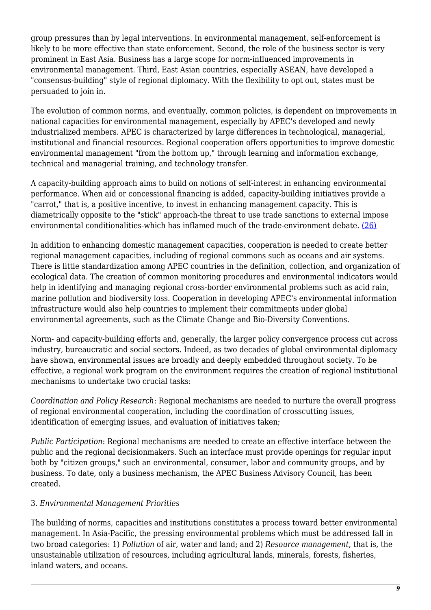group pressures than by legal interventions. In environmental management, self-enforcement is likely to be more effective than state enforcement. Second, the role of the business sector is very prominent in East Asia. Business has a large scope for norm-influenced improvements in environmental management. Third, East Asian countries, especially ASEAN, have developed a "consensus-building" style of regional diplomacy. With the flexibility to opt out, states must be persuaded to join in.

The evolution of common norms, and eventually, common policies, is dependent on improvements in national capacities for environmental management, especially by APEC's developed and newly industrialized members. APEC is characterized by large differences in technological, managerial, institutional and financial resources. Regional cooperation offers opportunities to improve domestic environmental management "from the bottom up," through learning and information exchange, technical and managerial training, and technology transfer.

A capacity-building approach aims to build on notions of self-interest in enhancing environmental performance. When aid or concessional financing is added, capacity-building initiatives provide a "carrot," that is, a positive incentive, to invest in enhancing management capacity. This is diametrically opposite to the "stick" approach-the threat to use trade sanctions to external impose environmental conditionalities-which has inflamed much of the trade-environment debate. [\(26\)](#page-20-2)

In addition to enhancing domestic management capacities, cooperation is needed to create better regional management capacities, including of regional commons such as oceans and air systems. There is little standardization among APEC countries in the definition, collection, and organization of ecological data. The creation of common monitoring procedures and environmental indicators would help in identifying and managing regional cross-border environmental problems such as acid rain, marine pollution and biodiversity loss. Cooperation in developing APEC's environmental information infrastructure would also help countries to implement their commitments under global environmental agreements, such as the Climate Change and Bio-Diversity Conventions.

Norm- and capacity-building efforts and, generally, the larger policy convergence process cut across industry, bureaucratic and social sectors. Indeed, as two decades of global environmental diplomacy have shown, environmental issues are broadly and deeply embedded throughout society. To be effective, a regional work program on the environment requires the creation of regional institutional mechanisms to undertake two crucial tasks:

*Coordination and Policy Research*: Regional mechanisms are needed to nurture the overall progress of regional environmental cooperation, including the coordination of crosscutting issues, identification of emerging issues, and evaluation of initiatives taken;

*Public Participation*: Regional mechanisms are needed to create an effective interface between the public and the regional decisionmakers. Such an interface must provide openings for regular input both by "citizen groups," such an environmental, consumer, labor and community groups, and by business. To date, only a business mechanism, the APEC Business Advisory Council, has been created.

#### 3. *Environmental Management Priorities*

The building of norms, capacities and institutions constitutes a process toward better environmental management. In Asia-Pacific, the pressing environmental problems which must be addressed fall in two broad categories: 1) *Pollution* of air, water and land; and 2) *Resource management*, that is, the unsustainable utilization of resources, including agricultural lands, minerals, forests, fisheries, inland waters, and oceans.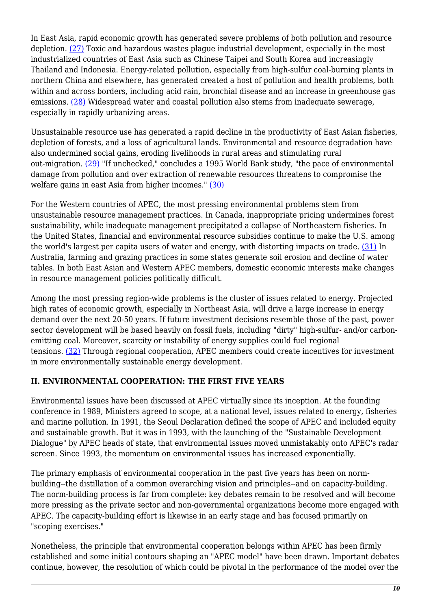In East Asia, rapid economic growth has generated severe problems of both pollution and resource depletion. [\(27\)](#page-20-3) Toxic and hazardous wastes plague industrial development, especially in the most industrialized countries of East Asia such as Chinese Taipei and South Korea and increasingly Thailand and Indonesia. Energy-related pollution, especially from high-sulfur coal-burning plants in northern China and elsewhere, has generated created a host of pollution and health problems, both within and across borders, including acid rain, bronchial disease and an increase in greenhouse gas emissions. [\(28\)](#page-20-4) Widespread water and coastal pollution also stems from inadequate sewerage, especially in rapidly urbanizing areas.

Unsustainable resource use has generated a rapid decline in the productivity of East Asian fisheries, depletion of forests, and a loss of agricultural lands. Environmental and resource degradation have also undermined social gains, eroding livelihoods in rural areas and stimulating rural out-migration. [\(29\)](#page-20-5) "If unchecked," concludes a 1995 World Bank study, "the pace of environmental damage from pollution and over extraction of renewable resources threatens to compromise the welfare gains in east Asia from higher incomes." [\(30\)](#page-20-6)

For the Western countries of APEC, the most pressing environmental problems stem from unsustainable resource management practices. In Canada, inappropriate pricing undermines forest sustainability, while inadequate management precipitated a collapse of Northeastern fisheries. In the United States, financial and environmental resource subsidies continue to make the U.S. among the world's largest per capita users of water and energy, with distorting impacts on trade. [\(31\)](#page-20-7) In Australia, farming and grazing practices in some states generate soil erosion and decline of water tables. In both East Asian and Western APEC members, domestic economic interests make changes in resource management policies politically difficult.

Among the most pressing region-wide problems is the cluster of issues related to energy. Projected high rates of economic growth, especially in Northeast Asia, will drive a large increase in energy demand over the next 20-50 years. If future investment decisions resemble those of the past, power sector development will be based heavily on fossil fuels, including "dirty" high-sulfur- and/or carbonemitting coal. Moreover, scarcity or instability of energy supplies could fuel regional tensions. [\(32\)](#page-20-8) Through regional cooperation, APEC members could create incentives for investment in more environmentally sustainable energy development.

# <span id="page-9-0"></span>**II. ENVIRONMENTAL COOPERATION: THE FIRST FIVE YEARS**

Environmental issues have been discussed at APEC virtually since its inception. At the founding conference in 1989, Ministers agreed to scope, at a national level, issues related to energy, fisheries and marine pollution. In 1991, the Seoul Declaration defined the scope of APEC and included equity and sustainable growth. But it was in 1993, with the launching of the "Sustainable Development Dialogue" by APEC heads of state, that environmental issues moved unmistakably onto APEC's radar screen. Since 1993, the momentum on environmental issues has increased exponentially.

The primary emphasis of environmental cooperation in the past five years has been on normbuilding--the distillation of a common overarching vision and principles--and on capacity-building. The norm-building process is far from complete: key debates remain to be resolved and will become more pressing as the private sector and non-governmental organizations become more engaged with APEC. The capacity-building effort is likewise in an early stage and has focused primarily on "scoping exercises."

Nonetheless, the principle that environmental cooperation belongs within APEC has been firmly established and some initial contours shaping an "APEC model" have been drawn. Important debates continue, however, the resolution of which could be pivotal in the performance of the model over the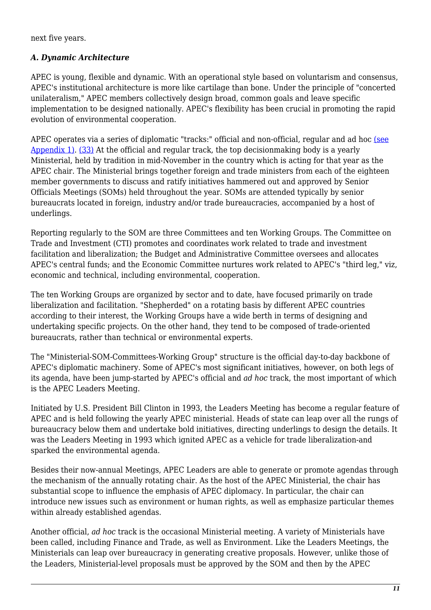next five years.

# *A. Dynamic Architecture*

APEC is young, flexible and dynamic. With an operational style based on voluntarism and consensus, APEC's institutional architecture is more like cartilage than bone. Under the principle of "concerted unilateralism," APEC members collectively design broad, common goals and leave specific implementation to be designed nationally. APEC's flexibility has been crucial in promoting the rapid evolution of environmental cooperation.

APEC operates via a series of diplomatic "tracks:" official and non-official, regular and ad hoc [\(see](http://nautilus.org/appendix1.html) [Appendix 1\).](http://nautilus.org/appendix1.html) [\(33\)](#page-20-9) At the official and regular track, the top decisionmaking body is a yearly Ministerial, held by tradition in mid-November in the country which is acting for that year as the APEC chair. The Ministerial brings together foreign and trade ministers from each of the eighteen member governments to discuss and ratify initiatives hammered out and approved by Senior Officials Meetings (SOMs) held throughout the year. SOMs are attended typically by senior bureaucrats located in foreign, industry and/or trade bureaucracies, accompanied by a host of underlings.

Reporting regularly to the SOM are three Committees and ten Working Groups. The Committee on Trade and Investment (CTI) promotes and coordinates work related to trade and investment facilitation and liberalization; the Budget and Administrative Committee oversees and allocates APEC's central funds; and the Economic Committee nurtures work related to APEC's "third leg," viz, economic and technical, including environmental, cooperation.

The ten Working Groups are organized by sector and to date, have focused primarily on trade liberalization and facilitation. "Shepherded" on a rotating basis by different APEC countries according to their interest, the Working Groups have a wide berth in terms of designing and undertaking specific projects. On the other hand, they tend to be composed of trade-oriented bureaucrats, rather than technical or environmental experts.

The "Ministerial-SOM-Committees-Working Group" structure is the official day-to-day backbone of APEC's diplomatic machinery. Some of APEC's most significant initiatives, however, on both legs of its agenda, have been jump-started by APEC's official and *ad hoc* track, the most important of which is the APEC Leaders Meeting.

Initiated by U.S. President Bill Clinton in 1993, the Leaders Meeting has become a regular feature of APEC and is held following the yearly APEC ministerial. Heads of state can leap over all the rungs of bureaucracy below them and undertake bold initiatives, directing underlings to design the details. It was the Leaders Meeting in 1993 which ignited APEC as a vehicle for trade liberalization-and sparked the environmental agenda.

Besides their now-annual Meetings, APEC Leaders are able to generate or promote agendas through the mechanism of the annually rotating chair. As the host of the APEC Ministerial, the chair has substantial scope to influence the emphasis of APEC diplomacy. In particular, the chair can introduce new issues such as environment or human rights, as well as emphasize particular themes within already established agendas.

Another official, *ad hoc* track is the occasional Ministerial meeting. A variety of Ministerials have been called, including Finance and Trade, as well as Environment. Like the Leaders Meetings, the Ministerials can leap over bureaucracy in generating creative proposals. However, unlike those of the Leaders, Ministerial-level proposals must be approved by the SOM and then by the APEC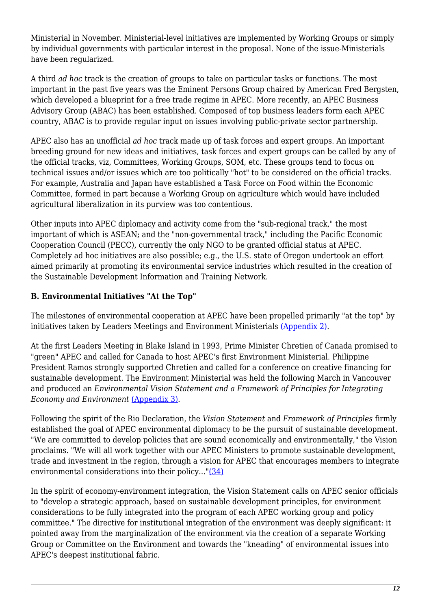Ministerial in November. Ministerial-level initiatives are implemented by Working Groups or simply by individual governments with particular interest in the proposal. None of the issue-Ministerials have been regularized.

A third *ad hoc* track is the creation of groups to take on particular tasks or functions. The most important in the past five years was the Eminent Persons Group chaired by American Fred Bergsten, which developed a blueprint for a free trade regime in APEC. More recently, an APEC Business Advisory Group (ABAC) has been established. Composed of top business leaders form each APEC country, ABAC is to provide regular input on issues involving public-private sector partnership.

APEC also has an unofficial *ad hoc* track made up of task forces and expert groups. An important breeding ground for new ideas and initiatives, task forces and expert groups can be called by any of the official tracks, viz, Committees, Working Groups, SOM, etc. These groups tend to focus on technical issues and/or issues which are too politically "hot" to be considered on the official tracks. For example, Australia and Japan have established a Task Force on Food within the Economic Committee, formed in part because a Working Group on agriculture which would have included agricultural liberalization in its purview was too contentious.

Other inputs into APEC diplomacy and activity come from the "sub-regional track," the most important of which is ASEAN; and the "non-governmental track," including the Pacific Economic Cooperation Council (PECC), currently the only NGO to be granted official status at APEC. Completely ad hoc initiatives are also possible; e.g., the U.S. state of Oregon undertook an effort aimed primarily at promoting its environmental service industries which resulted in the creation of the Sustainable Development Information and Training Network.

# **B. Environmental Initiatives "At the Top"**

The milestones of environmental cooperation at APEC have been propelled primarily "at the top" by initiatives taken by Leaders Meetings and Environment Ministerials [\(Appendix 2\).](http://nautilus.org/appendix2.html)

At the first Leaders Meeting in Blake Island in 1993, Prime Minister Chretien of Canada promised to "green" APEC and called for Canada to host APEC's first Environment Ministerial. Philippine President Ramos strongly supported Chretien and called for a conference on creative financing for sustainable development. The Environment Ministerial was held the following March in Vancouver and produced an *Environmental Vision Statement and a Framework of Principles for Integrating Economy and Environment* [\(Appendix 3\).](http://nautilus.org/appendix3.html)

Following the spirit of the Rio Declaration, the *Vision Statement* and *Framework of Principles* firmly established the goal of APEC environmental diplomacy to be the pursuit of sustainable development. "We are committed to develop policies that are sound economically and environmentally," the Vision proclaims. "We will all work together with our APEC Ministers to promote sustainable development, trade and investment in the region, through a vision for APEC that encourages members to integrate environmental considerations into their policy..."[\(34\)](#page-20-10)

In the spirit of economy-environment integration, the Vision Statement calls on APEC senior officials to "develop a strategic approach, based on sustainable development principles, for environment considerations to be fully integrated into the program of each APEC working group and policy committee." The directive for institutional integration of the environment was deeply significant: it pointed away from the marginalization of the environment via the creation of a separate Working Group or Committee on the Environment and towards the "kneading" of environmental issues into APEC's deepest institutional fabric.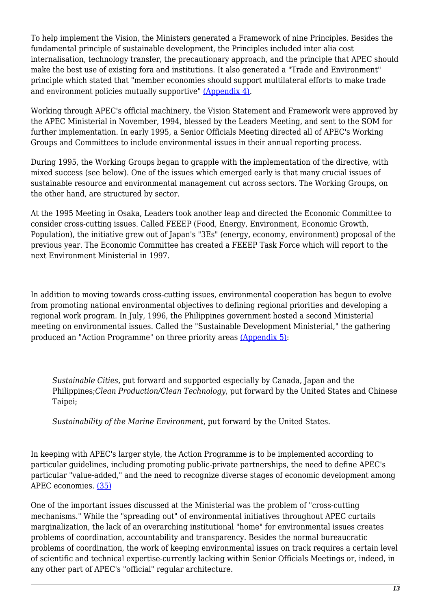To help implement the Vision, the Ministers generated a Framework of nine Principles. Besides the fundamental principle of sustainable development, the Principles included inter alia cost internalisation, technology transfer, the precautionary approach, and the principle that APEC should make the best use of existing fora and institutions. It also generated a "Trade and Environment" principle which stated that "member economies should support multilateral efforts to make trade and environment policies mutually supportive" [\(Appendix 4\).](http://nautilus.org/appendix4.html)

Working through APEC's official machinery, the Vision Statement and Framework were approved by the APEC Ministerial in November, 1994, blessed by the Leaders Meeting, and sent to the SOM for further implementation. In early 1995, a Senior Officials Meeting directed all of APEC's Working Groups and Committees to include environmental issues in their annual reporting process.

During 1995, the Working Groups began to grapple with the implementation of the directive, with mixed success (see below). One of the issues which emerged early is that many crucial issues of sustainable resource and environmental management cut across sectors. The Working Groups, on the other hand, are structured by sector.

At the 1995 Meeting in Osaka, Leaders took another leap and directed the Economic Committee to consider cross-cutting issues. Called FEEEP (Food, Energy, Environment, Economic Growth, Population), the initiative grew out of Japan's "3Es" (energy, economy, environment) proposal of the previous year. The Economic Committee has created a FEEEP Task Force which will report to the next Environment Ministerial in 1997.

In addition to moving towards cross-cutting issues, environmental cooperation has begun to evolve from promoting national environmental objectives to defining regional priorities and developing a regional work program. In July, 1996, the Philippines government hosted a second Ministerial meeting on environmental issues. Called the "Sustainable Development Ministerial," the gathering produced an "Action Programme" on three priority areas [\(Appendix 5\)](http://nautilus.org/appendix5.html):

*Sustainable Cities*, put forward and supported especially by Canada, Japan and the Philippines;*Clean Production/Clean Technology*, put forward by the United States and Chinese Taipei;

*Sustainability of the Marine Environment*, put forward by the United States.

In keeping with APEC's larger style, the Action Programme is to be implemented according to particular guidelines, including promoting public-private partnerships, the need to define APEC's particular "value-added," and the need to recognize diverse stages of economic development among APEC economies. [\(35\)](#page-20-11)

One of the important issues discussed at the Ministerial was the problem of "cross-cutting mechanisms." While the "spreading out" of environmental initiatives throughout APEC curtails marginalization, the lack of an overarching institutional "home" for environmental issues creates problems of coordination, accountability and transparency. Besides the normal bureaucratic problems of coordination, the work of keeping environmental issues on track requires a certain level of scientific and technical expertise-currently lacking within Senior Officials Meetings or, indeed, in any other part of APEC's "official" regular architecture.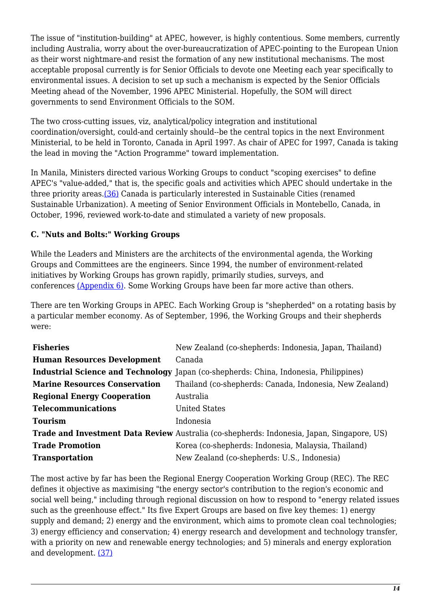The issue of "institution-building" at APEC, however, is highly contentious. Some members, currently including Australia, worry about the over-bureaucratization of APEC-pointing to the European Union as their worst nightmare-and resist the formation of any new institutional mechanisms. The most acceptable proposal currently is for Senior Officials to devote one Meeting each year specifically to environmental issues. A decision to set up such a mechanism is expected by the Senior Officials Meeting ahead of the November, 1996 APEC Ministerial. Hopefully, the SOM will direct governments to send Environment Officials to the SOM.

The two cross-cutting issues, viz, analytical/policy integration and institutional coordination/oversight, could-and certainly should--be the central topics in the next Environment Ministerial, to be held in Toronto, Canada in April 1997. As chair of APEC for 1997, Canada is taking the lead in moving the "Action Programme" toward implementation.

In Manila, Ministers directed various Working Groups to conduct "scoping exercises" to define APEC's "value-added," that is, the specific goals and activities which APEC should undertake in the three priority areas.[\(36\)](#page-20-12) Canada is particularly interested in Sustainable Cities (renamed Sustainable Urbanization). A meeting of Senior Environment Officials in Montebello, Canada, in October, 1996, reviewed work-to-date and stimulated a variety of new proposals.

# **C. "Nuts and Bolts:" Working Groups**

While the Leaders and Ministers are the architects of the environmental agenda, the Working Groups and Committees are the engineers. Since 1994, the number of environment-related initiatives by Working Groups has grown rapidly, primarily studies, surveys, and conferences [\(Appendix 6\).](http://nautilus.org/appendix6.html) Some Working Groups have been far more active than others.

There are ten Working Groups in APEC. Each Working Group is "shepherded" on a rotating basis by a particular member economy. As of September, 1996, the Working Groups and their shepherds were:

| <b>Fisheries</b>                     | New Zealand (co-shepherds: Indonesia, Japan, Thailand)                                            |
|--------------------------------------|---------------------------------------------------------------------------------------------------|
| <b>Human Resources Development</b>   | Canada                                                                                            |
|                                      | Industrial Science and Technology Japan (co-shepherds: China, Indonesia, Philippines)             |
| <b>Marine Resources Conservation</b> | Thailand (co-shepherds: Canada, Indonesia, New Zealand)                                           |
| <b>Regional Energy Cooperation</b>   | Australia                                                                                         |
| <b>Telecommunications</b>            | United States                                                                                     |
| <b>Tourism</b>                       | Indonesia                                                                                         |
|                                      | <b>Trade and Investment Data Review</b> Australia (co-shepherds: Indonesia, Japan, Singapore, US) |
| <b>Trade Promotion</b>               | Korea (co-shepherds: Indonesia, Malaysia, Thailand)                                               |
| <b>Transportation</b>                | New Zealand (co-shepherds: U.S., Indonesia)                                                       |

The most active by far has been the Regional Energy Cooperation Working Group (REC). The REC defines it objective as maximising "the energy sector's contribution to the region's economic and social well being," including through regional discussion on how to respond to "energy related issues such as the greenhouse effect." Its five Expert Groups are based on five key themes: 1) energy supply and demand: 2) energy and the environment, which aims to promote clean coal technologies; 3) energy efficiency and conservation; 4) energy research and development and technology transfer, with a priority on new and renewable energy technologies; and 5) minerals and energy exploration and development. [\(37\)](#page-20-13)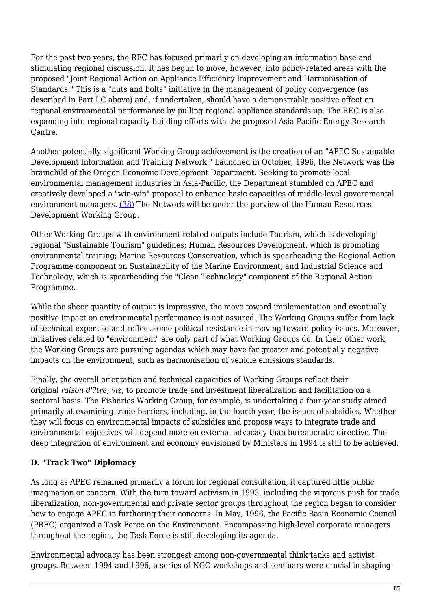For the past two years, the REC has focused primarily on developing an information base and stimulating regional discussion. It has begun to move, however, into policy-related areas with the proposed "Joint Regional Action on Appliance Efficiency Improvement and Harmonisation of Standards." This is a "nuts and bolts" initiative in the management of policy convergence (as described in Part I.C above) and, if undertaken, should have a demonstrable positive effect on regional environmental performance by pulling regional appliance standards up. The REC is also expanding into regional capacity-building efforts with the proposed Asia Pacific Energy Research Centre.

Another potentially significant Working Group achievement is the creation of an "APEC Sustainable Development Information and Training Network." Launched in October, 1996, the Network was the brainchild of the Oregon Economic Development Department. Seeking to promote local environmental management industries in Asia-Pacific, the Department stumbled on APEC and creatively developed a "win-win" proposal to enhance basic capacities of middle-level governmental environment managers. [\(38\)](#page-20-14) The Network will be under the purview of the Human Resources Development Working Group.

Other Working Groups with environment-related outputs include Tourism, which is developing regional "Sustainable Tourism" guidelines; Human Resources Development, which is promoting environmental training; Marine Resources Conservation, which is spearheading the Regional Action Programme component on Sustainability of the Marine Environment; and Industrial Science and Technology, which is spearheading the "Clean Technology" component of the Regional Action Programme.

While the sheer quantity of output is impressive, the move toward implementation and eventually positive impact on environmental performance is not assured. The Working Groups suffer from lack of technical expertise and reflect some political resistance in moving toward policy issues. Moreover, initiatives related to "environment" are only part of what Working Groups do. In their other work, the Working Groups are pursuing agendas which may have far greater and potentially negative impacts on the environment, such as harmonisation of vehicle emissions standards.

Finally, the overall orientation and technical capacities of Working Groups reflect their original *raison d'?tre, viz*, to promote trade and investment liberalization and facilitation on a sectoral basis. The Fisheries Working Group, for example, is undertaking a four-year study aimed primarily at examining trade barriers, including, in the fourth year, the issues of subsidies. Whether they will focus on environmental impacts of subsidies and propose ways to integrate trade and environmental objectives will depend more on external advocacy than bureaucratic directive. The deep integration of environment and economy envisioned by Ministers in 1994 is still to be achieved.

# **D. "Track Two" Diplomacy**

As long as APEC remained primarily a forum for regional consultation, it captured little public imagination or concern. With the turn toward activism in 1993, including the vigorous push for trade liberalization, non-governmental and private sector groups throughout the region began to consider how to engage APEC in furthering their concerns. In May, 1996, the Pacific Basin Economic Council (PBEC) organized a Task Force on the Environment. Encompassing high-level corporate managers throughout the region, the Task Force is still developing its agenda.

Environmental advocacy has been strongest among non-governmental think tanks and activist groups. Between 1994 and 1996, a series of NGO workshops and seminars were crucial in shaping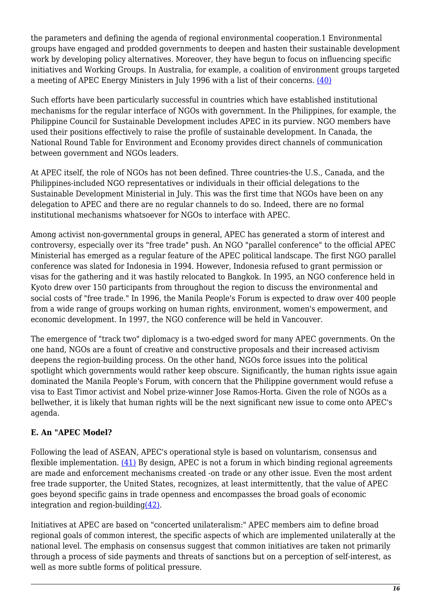the parameters and defining the agenda of regional environmental cooperation.1 Environmental groups have engaged and prodded governments to deepen and hasten their sustainable development work by developing policy alternatives. Moreover, they have begun to focus on influencing specific initiatives and Working Groups. In Australia, for example, a coalition of environment groups targeted a meeting of APEC Energy Ministers in July 1996 with a list of their concerns. [\(40\)](#page-20-15)

Such efforts have been particularly successful in countries which have established institutional mechanisms for the regular interface of NGOs with government. In the Philippines, for example, the Philippine Council for Sustainable Development includes APEC in its purview. NGO members have used their positions effectively to raise the profile of sustainable development. In Canada, the National Round Table for Environment and Economy provides direct channels of communication between government and NGOs leaders.

At APEC itself, the role of NGOs has not been defined. Three countries-the U.S., Canada, and the Philippines-included NGO representatives or individuals in their official delegations to the Sustainable Development Ministerial in July. This was the first time that NGOs have been on any delegation to APEC and there are no regular channels to do so. Indeed, there are no formal institutional mechanisms whatsoever for NGOs to interface with APEC.

Among activist non-governmental groups in general, APEC has generated a storm of interest and controversy, especially over its "free trade" push. An NGO "parallel conference" to the official APEC Ministerial has emerged as a regular feature of the APEC political landscape. The first NGO parallel conference was slated for Indonesia in 1994. However, Indonesia refused to grant permission or visas for the gathering and it was hastily relocated to Bangkok. In 1995, an NGO conference held in Kyoto drew over 150 participants from throughout the region to discuss the environmental and social costs of "free trade." In 1996, the Manila People's Forum is expected to draw over 400 people from a wide range of groups working on human rights, environment, women's empowerment, and economic development. In 1997, the NGO conference will be held in Vancouver.

The emergence of "track two" diplomacy is a two-edged sword for many APEC governments. On the one hand, NGOs are a fount of creative and constructive proposals and their increased activism deepens the region-building process. On the other hand, NGOs force issues into the political spotlight which governments would rather keep obscure. Significantly, the human rights issue again dominated the Manila People's Forum, with concern that the Philippine government would refuse a visa to East Timor activist and Nobel prize-winner Jose Ramos-Horta. Given the role of NGOs as a bellwether, it is likely that human rights will be the next significant new issue to come onto APEC's agenda.

# **E. An "APEC Model?**

Following the lead of ASEAN, APEC's operational style is based on voluntarism, consensus and flexible implementation.  $(41)$  By design, APEC is not a forum in which binding regional agreements are made and enforcement mechanisms created -on trade or any other issue. Even the most ardent free trade supporter, the United States, recognizes, at least intermittently, that the value of APEC goes beyond specific gains in trade openness and encompasses the broad goals of economic integration and region-buildin[g\(42\).](#page-21-1)

Initiatives at APEC are based on "concerted unilateralism:" APEC members aim to define broad regional goals of common interest, the specific aspects of which are implemented unilaterally at the national level. The emphasis on consensus suggest that common initiatives are taken not primarily through a process of side payments and threats of sanctions but on a perception of self-interest, as well as more subtle forms of political pressure.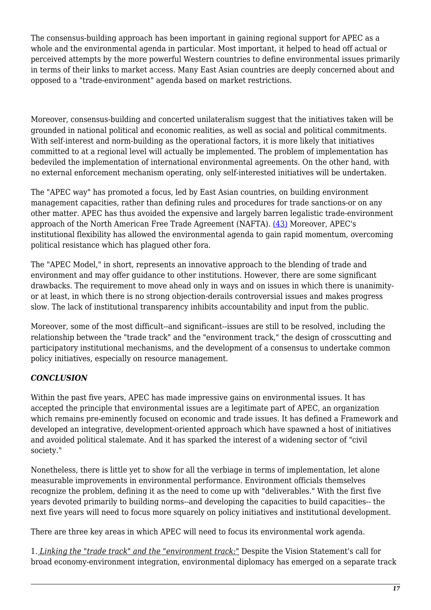The consensus-building approach has been important in gaining regional support for APEC as a whole and the environmental agenda in particular. Most important, it helped to head off actual or perceived attempts by the more powerful Western countries to define environmental issues primarily in terms of their links to market access. Many East Asian countries are deeply concerned about and opposed to a "trade-environment" agenda based on market restrictions.

Moreover, consensus-building and concerted unilateralism suggest that the initiatives taken will be grounded in national political and economic realities, as well as social and political commitments. With self-interest and norm-building as the operational factors, it is more likely that initiatives committed to at a regional level will actually be implemented. The problem of implementation has bedeviled the implementation of international environmental agreements. On the other hand, with no external enforcement mechanism operating, only self-interested initiatives will be undertaken.

The "APEC way" has promoted a focus, led by East Asian countries, on building environment management capacities, rather than defining rules and procedures for trade sanctions-or on any other matter. APEC has thus avoided the expensive and largely barren legalistic trade-environment approach of the North American Free Trade Agreement (NAFTA). [\(43\)](#page-21-2) Moreover, APEC's institutional flexibility has allowed the environmental agenda to gain rapid momentum, overcoming political resistance which has plagued other fora.

The "APEC Model," in short, represents an innovative approach to the blending of trade and environment and may offer guidance to other institutions. However, there are some significant drawbacks. The requirement to move ahead only in ways and on issues in which there is unanimityor at least, in which there is no strong objection-derails controversial issues and makes progress slow. The lack of institutional transparency inhibits accountability and input from the public.

Moreover, some of the most difficult--and significant--issues are still to be resolved, including the relationship between the "trade track" and the "environment track," the design of crosscutting and participatory institutional mechanisms, and the development of a consensus to undertake common policy initiatives, especially on resource management.

# <span id="page-16-0"></span>*CONCLUSION*

Within the past five years, APEC has made impressive gains on environmental issues. It has accepted the principle that environmental issues are a legitimate part of APEC, an organization which remains pre-eminently focused on economic and trade issues. It has defined a Framework and developed an integrative, development-oriented approach which have spawned a host of initiatives and avoided political stalemate. And it has sparked the interest of a widening sector of "civil society."

Nonetheless, there is little yet to show for all the verbiage in terms of implementation, let alone measurable improvements in environmental performance. Environment officials themselves recognize the problem, defining it as the need to come up with "deliverables." With the first five years devoted primarily to building norms--and developing the capacities to build capacities-- the next five years will need to focus more squarely on policy initiatives and institutional development.

There are three key areas in which APEC will need to focus its environmental work agenda.

1. *Linking the "trade track" and the "environment track:"* Despite the Vision Statement's call for broad economy-environment integration, environmental diplomacy has emerged on a separate track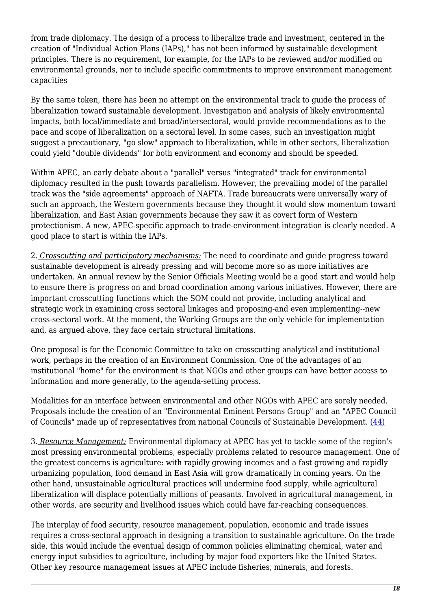from trade diplomacy. The design of a process to liberalize trade and investment, centered in the creation of "Individual Action Plans (IAPs)," has not been informed by sustainable development principles. There is no requirement, for example, for the IAPs to be reviewed and/or modified on environmental grounds, nor to include specific commitments to improve environment management capacities

By the same token, there has been no attempt on the environmental track to guide the process of liberalization toward sustainable development. Investigation and analysis of likely environmental impacts, both local/immediate and broad/intersectoral, would provide recommendations as to the pace and scope of liberalization on a sectoral level. In some cases, such an investigation might suggest a precautionary, "go slow" approach to liberalization, while in other sectors, liberalization could yield "double dividends" for both environment and economy and should be speeded.

Within APEC, an early debate about a "parallel" versus "integrated" track for environmental diplomacy resulted in the push towards parallelism. However, the prevailing model of the parallel track was the "side agreements" approach of NAFTA. Trade bureaucrats were universally wary of such an approach, the Western governments because they thought it would slow momentum toward liberalization, and East Asian governments because they saw it as covert form of Western protectionism. A new, APEC-specific approach to trade-environment integration is clearly needed. A good place to start is within the IAPs.

2. *Crosscutting and participatory mechanisms:* The need to coordinate and guide progress toward sustainable development is already pressing and will become more so as more initiatives are undertaken. An annual review by the Senior Officials Meeting would be a good start and would help to ensure there is progress on and broad coordination among various initiatives. However, there are important crosscutting functions which the SOM could not provide, including analytical and strategic work in examining cross sectoral linkages and proposing-and even implementing--new cross-sectoral work. At the moment, the Working Groups are the only vehicle for implementation and, as argued above, they face certain structural limitations.

One proposal is for the Economic Committee to take on crosscutting analytical and institutional work, perhaps in the creation of an Environment Commission. One of the advantages of an institutional "home" for the environment is that NGOs and other groups can have better access to information and more generally, to the agenda-setting process.

Modalities for an interface between environmental and other NGOs with APEC are sorely needed. Proposals include the creation of an "Environmental Eminent Persons Group" and an "APEC Council of Councils" made up of representatives from national Councils of Sustainable Development. [\(44\)](#page-21-3)

3. *Resource Management:* Environmental diplomacy at APEC has yet to tackle some of the region's most pressing environmental problems, especially problems related to resource management. One of the greatest concerns is agriculture: with rapidly growing incomes and a fast growing and rapidly urbanizing population, food demand in East Asia will grow dramatically in coming years. On the other hand, unsustainable agricultural practices will undermine food supply, while agricultural liberalization will displace potentially millions of peasants. Involved in agricultural management, in other words, are security and livelihood issues which could have far-reaching consequences.

The interplay of food security, resource management, population, economic and trade issues requires a cross-sectoral approach in designing a transition to sustainable agriculture. On the trade side, this would include the eventual design of common policies eliminating chemical, water and energy input subsidies to agriculture, including by major food exporters like the United States. Other key resource management issues at APEC include fisheries, minerals, and forests.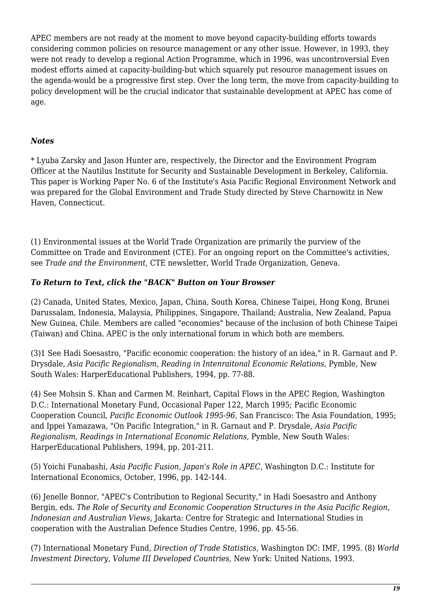APEC members are not ready at the moment to move beyond capacity-building efforts towards considering common policies on resource management or any other issue. However, in 1993, they were not ready to develop a regional Action Programme, which in 1996, was uncontroversial Even modest efforts aimed at capacity-building-but which squarely put resource management issues on the agenda-would be a progressive first step. Over the long term, the move from capacity-building to policy development will be the crucial indicator that sustainable development at APEC has come of age.

# *Notes*

\* Lyuba Zarsky and Jason Hunter are, respectively, the Director and the Environment Program Officer at the Nautilus Institute for Security and Sustainable Development in Berkeley, California. This paper is Working Paper No. 6 of the Institute's Asia Pacific Regional Environment Network and was prepared for the Global Environment and Trade Study directed by Steve Charnowitz in New Haven, Connecticut.

<span id="page-18-0"></span>(1) Environmental issues at the World Trade Organization are primarily the purview of the Committee on Trade and Environment (CTE). For an ongoing report on the Committee's activities, see *Trade and the Environment*, CTE newsletter, World Trade Organization, Geneva.

#### *To Return to Text, click the "BACK" Button on Your Browser*

<span id="page-18-1"></span>(2) Canada, United States, Mexico, Japan, China, South Korea, Chinese Taipei, Hong Kong, Brunei Darussalam, Indonesia, Malaysia, Philippines, Singapore, Thailand; Australia, New Zealand, Papua New Guinea, Chile. Members are called "economies" because of the inclusion of both Chinese Taipei (Taiwan) and China. APEC is the only international forum in which both are members.

<span id="page-18-2"></span>(3)1 See Hadi Soesastro, "Pacific economic cooperation: the history of an idea," in R. Garnaut and P. Drysdale, *Asia Pacific Regionalism, Reading in Intenraitonal Economic Relations*, Pymble, New South Wales: HarperEducational Publishers, 1994, pp. 77-88.

<span id="page-18-3"></span>(4) See Mohsin S. Khan and Carmen M. Reinhart, Capital Flows in the APEC Region, Washington D.C.: International Monetary Fund, Occasional Paper 122, March 1995; Pacific Economic Cooperation Council, *Pacific Economic Outlook 1995-96*, San Francisco: The Asia Foundation, 1995; and Ippei Yamazawa, "On Pacific Integration," in R. Garnaut and P. Drysdale, *Asia Pacific Regionalism, Readings in International Economic Relations*, Pymble, New South Wales: HarperEducational Publishers, 1994, pp. 201-211.

<span id="page-18-4"></span>(5) Yoichi Funabashi, *Asia Pacific Fusion, Japan's Role in APEC*, Washington D.C.: Institute for International Economics, October, 1996, pp. 142-144.

<span id="page-18-5"></span>(6) Jenelle Bonnor, "APEC's Contribution to Regional Security," in Hadi Soesastro and Anthony Bergin, eds. *The Role of Security and Economic Cooperation Structures in the Asia Pacific Region, Indonesian and Australian Views*, Jakarta: Centre for Strategic and International Studies in cooperation with the Australian Defence Studies Centre, 1996, pp. 45-56.

<span id="page-18-7"></span><span id="page-18-6"></span>(7) International Monetary Fund, *Direction of Trade Statistics*, Washington DC: IMF, 1995. (8) *World Investment Directory, Volume III Developed Countries*, New York: United Nations, 1993.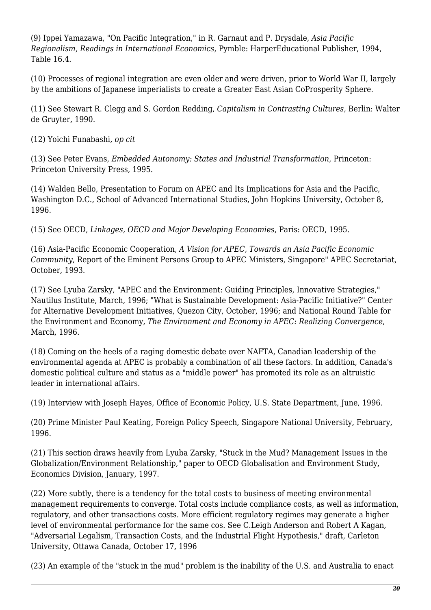(9) Ippei Yamazawa, "On Pacific Integration," in R. Garnaut and P. Drysdale, *Asia Pacific Regionalism, Readings in International Economics*, Pymble: HarperEducational Publisher, 1994, Table 16.4.

<span id="page-19-0"></span>(10) Processes of regional integration are even older and were driven, prior to World War II, largely by the ambitions of Japanese imperialists to create a Greater East Asian CoProsperity Sphere.

<span id="page-19-1"></span>(11) See Stewart R. Clegg and S. Gordon Redding, *Capitalism in Contrasting Cultures*, Berlin: Walter de Gruyter, 1990.

<span id="page-19-2"></span>(12) Yoichi Funabashi, *op cit*

<span id="page-19-3"></span>(13) See Peter Evans, *Embedded Autonomy: States and Industrial Transformation*, Princeton: Princeton University Press, 1995.

<span id="page-19-4"></span>(14) Walden Bello, Presentation to Forum on APEC and Its Implications for Asia and the Pacific, Washington D.C., School of Advanced International Studies, John Hopkins University, October 8, 1996.

<span id="page-19-5"></span>(15) See OECD, *Linkages, OECD and Major Developing Economies*, Paris: OECD, 1995.

<span id="page-19-6"></span>(16) Asia-Pacific Economic Cooperation, *A Vision for APEC, Towards an Asia Pacific Economic Community*, Report of the Eminent Persons Group to APEC Ministers, Singapore" APEC Secretariat, October, 1993.

<span id="page-19-7"></span>(17) See Lyuba Zarsky, "APEC and the Environment: Guiding Principles, Innovative Strategies," Nautilus Institute, March, 1996; "What is Sustainable Development: Asia-Pacific Initiative?" Center for Alternative Development Initiatives, Quezon City, October, 1996; and National Round Table for the Environment and Economy, *The Environment and Economy in APEC: Realizing Convergence*, March, 1996.

<span id="page-19-8"></span>(18) Coming on the heels of a raging domestic debate over NAFTA, Canadian leadership of the environmental agenda at APEC is probably a combination of all these factors. In addition, Canada's domestic political culture and status as a "middle power" has promoted its role as an altruistic leader in international affairs.

<span id="page-19-9"></span>(19) Interview with Joseph Hayes, Office of Economic Policy, U.S. State Department, June, 1996.

<span id="page-19-10"></span>(20) Prime Minister Paul Keating, Foreign Policy Speech, Singapore National University, February, 1996.

<span id="page-19-11"></span>(21) This section draws heavily from Lyuba Zarsky, "Stuck in the Mud? Management Issues in the Globalization/Environment Relationship," paper to OECD Globalisation and Environment Study, Economics Division, January, 1997.

<span id="page-19-12"></span>(22) More subtly, there is a tendency for the total costs to business of meeting environmental management requirements to converge. Total costs include compliance costs, as well as information, regulatory, and other transactions costs. More efficient regulatory regimes may generate a higher level of environmental performance for the same cos. See C.Leigh Anderson and Robert A Kagan, "Adversarial Legalism, Transaction Costs, and the Industrial Flight Hypothesis," draft, Carleton University, Ottawa Canada, October 17, 1996

<span id="page-19-13"></span>(23) An example of the "stuck in the mud" problem is the inability of the U.S. and Australia to enact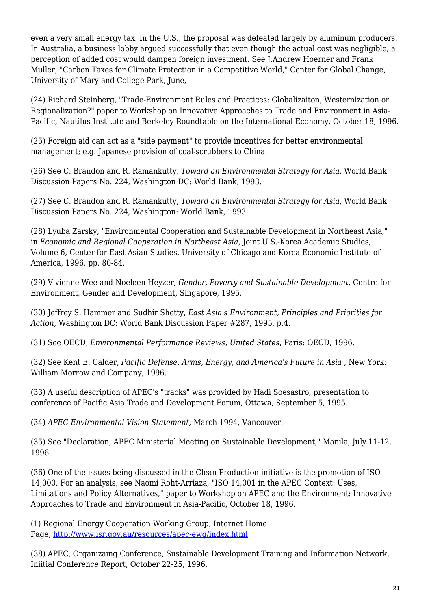even a very small energy tax. In the U.S., the proposal was defeated largely by aluminum producers. In Australia, a business lobby argued successfully that even though the actual cost was negligible, a perception of added cost would dampen foreign investment. See J.Andrew Hoerner and Frank Muller, "Carbon Taxes for Climate Protection in a Competitive World," Center for Global Change, University of Maryland College Park, June,

<span id="page-20-0"></span>(24) Richard Steinberg, "Trade-Environment Rules and Practices: Globalizaiton, Westernization or Regionalization?" paper to Workshop on Innovative Approaches to Trade and Environment in Asia-Pacific, Nautilus Institute and Berkeley Roundtable on the International Economy, October 18, 1996.

<span id="page-20-1"></span>(25) Foreign aid can act as a "side payment" to provide incentives for better environmental management; e.g. Japanese provision of coal-scrubbers to China.

<span id="page-20-2"></span>(26) See C. Brandon and R. Ramankutty, *Toward an Environmental Strategy for Asia*, World Bank Discussion Papers No. 224, Washington DC: World Bank, 1993.

<span id="page-20-3"></span>(27) See C. Brandon and R. Ramankutty, *Toward an Environmental Strategy for Asia*, World Bank Discussion Papers No. 224, Washington: World Bank, 1993.

<span id="page-20-4"></span>(28) Lyuba Zarsky, "Environmental Cooperation and Sustainable Development in Northeast Asia," in *Economic and Regional Cooperation in Northeast Asia*, Joint U.S.-Korea Academic Studies, Volume 6, Center for East Asian Studies, University of Chicago and Korea Economic Institute of America, 1996, pp. 80-84.

<span id="page-20-5"></span>(29) Vivienne Wee and Noeleen Heyzer, *Gender, Poverty and Sustainable Development*, Centre for Environment, Gender and Development, Singapore, 1995.

<span id="page-20-6"></span>(30) Jeffrey S. Hammer and Sudhir Shetty, *East Asia's Environment, Principles and Priorities for Action*, Washington DC: World Bank Discussion Paper #287, 1995, p.4.

<span id="page-20-7"></span>(31) See OECD, *Environmental Performance Reviews, United States*, Paris: OECD, 1996.

<span id="page-20-8"></span>(32) See Kent E. Calder, *Pacific Defense, Arms, Energy, and America's Future in Asia* , New York: William Morrow and Company, 1996.

<span id="page-20-9"></span>(33) A useful description of APEC's "tracks" was provided by Hadi Soesastro, presentation to conference of Pacific Asia Trade and Development Forum, Ottawa, September 5, 1995.

<span id="page-20-10"></span>(34) *APEC Environmental Vision Statement*, March 1994, Vancouver.

<span id="page-20-11"></span>(35) See "Declaration, APEC Ministerial Meeting on Sustainable Development," Manila, July 11-12, 1996.

<span id="page-20-12"></span>(36) One of the issues being discussed in the Clean Production initiative is the promotion of ISO 14,000. For an analysis, see Naomi Roht-Arriaza, "ISO 14,001 in the APEC Context: Uses, Limitations and Policy Alternatives," paper to Workshop on APEC and the Environment: Innovative Approaches to Trade and Environment in Asia-Pacific, October 18, 1996.

<span id="page-20-13"></span>(1) Regional Energy Cooperation Working Group, Internet Home Page, <http://www.isr.gov.au/resources/apec-ewg/index.html>

<span id="page-20-15"></span><span id="page-20-14"></span>(38) APEC, Organizaing Conference, Sustainable Development Training and Information Network, Iniitial Conference Report, October 22-25, 1996.